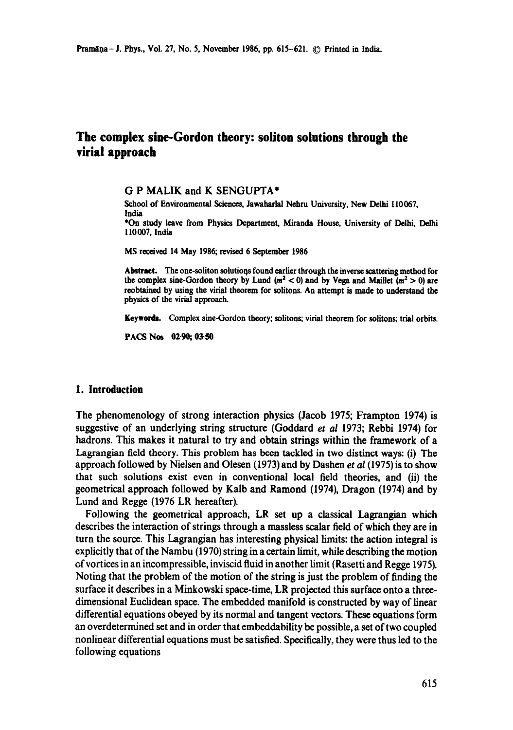# **The complex sine-Gordon theory: soliton solutions through the virial approach**

G P MALIK and K SENGUPTA\*

School of Environmental Sciences, Jawaharlal Nehru University, New Delhi 110067, India \*On study leave from Physics Department, Miranda House, University of Delhi, Delhi 110 007, India

MS received 14 May 1986, revised 6 September 1986

Abstract. The one-soliton solutions found earlier through the inverse scattering method for the complex sine-Gordon theory by Lund ( $m^2 < 0$ ) and by Vega and Maillet ( $m^2 > 0$ ) are reobtained by using the virial theorem for solitons. An attempt is made to understand the physics of the virial approach.

**Keyworda.** Complex sine-Gordon theory; solitons; virial theorem for solitons; trial orbits.

PACS Nos 02.90; 03:50

### **1. Introduction**

The phenomenology of strong interaction physics (Jacob 1975; Frampton 1974) is suggestive of an underlying string structure (Goddard *et al* 1973; Rebbi 1974) for hadrons. This makes it natural to try and obtain strings within the framework of a Lasrangian field theory. This problem has been tackled in two distinct ways: (i) The approach followed by Nielsen and Olesen (1973) and by Dashen *et al* (1975) is to show that such solutions exist even in conventional local field theories, and (ii) the geometrical approach followed by Kalb and Ramond (1974), Dragon (1974) and by Lund and Regge (1976 LR hereafter),

Following the geometrical approach, LR set up a classical Lagrangian which describes the interaction of strings through a massless scalar field of which they are in turn the source. This Lagrangian has interesting physical limits: the action integral is explicitly that of the Nambu (1970) string in a certain limit, while describing the motion of vortices in an incompressible, inviscid fluid in another limit (Rasetti and Regge 1975). Noting that the problem of the motion of the string is just the problem of finding the surface it describes in a Minkowski space-time, LR projected this surface onto a threedimensional Euclidcan space. The embedded manifold is constructed by way of linear differential equations obeyed by its normal and tangent vectors. These equations form an overdetermined set and in order that embeddability be possible, a set of two coupled nonlinear differential equations must be satisfied. Specifically, they were thus led to the following equations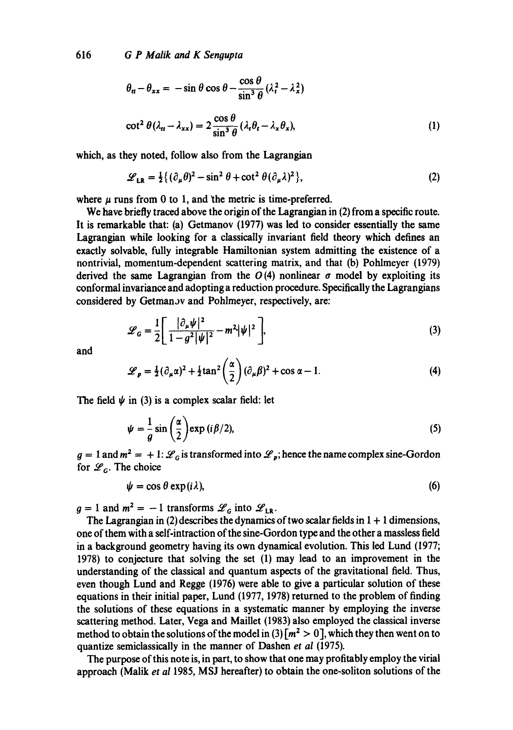616 *G P Malik and K Senoupta* 

$$
\theta_{tt} - \theta_{xx} = -\sin\theta\cos\theta - \frac{\cos\theta}{\sin^3\theta} (\lambda_t^2 - \lambda_x^2)
$$
  

$$
\cot^2\theta(\lambda_{tt} - \lambda_{xx}) = 2\frac{\cos\theta}{\sin^3\theta} (\lambda_t \theta_t - \lambda_x \theta_x),
$$
 (1)

which, as they noted, follow also from the Lagrangian

$$
\mathcal{L}_{LR} = \frac{1}{2} \{ (\partial_{\mu} \theta)^2 - \sin^2 \theta + \cot^2 \theta (\partial_{\mu} \lambda)^2 \},
$$
 (2)

where  $\mu$  runs from 0 to 1, and the metric is time-preferred.

We have briefly traced above the origin of the Lagrangian in (2) from a specific route. It is remarkable that: (a) Getmanov (1977) was led to consider essentially the same Lagrangian while looking for a classically invariant field theory which defines an exactly solvable, fully integrable Hamiltonian system admitting the existence of a nontrivial, momentum-dependent scattering matrix, and that (b) Pohlmeyer (1979) derived the same Lagrangian from the  $O(4)$  nonlinear  $\sigma$  model by exploiting its conformal invariance and adopting a reduction procedure. Specifically the Lagrangians considered by Getman.y and Pohlmeyer, respectively, are:

$$
\mathcal{L}_G = \frac{1}{2} \left[ \frac{|\partial_\mu \psi|^2}{1 - g^2 |\psi|^2} - m^2 |\psi|^2 \right],\tag{3}
$$

and

$$
\mathcal{L}_p = \frac{1}{2} (\partial_\mu \alpha)^2 + \frac{1}{2} \tan^2 \left( \frac{\alpha}{2} \right) (\partial_\mu \beta)^2 + \cos \alpha - 1.
$$
 (4)

The field  $\psi$  in (3) is a complex scalar field: let

$$
\psi = \frac{1}{g} \sin \left( \frac{\alpha}{2} \right) \exp \left( i \beta / 2 \right),\tag{5}
$$

 $g = 1$  and  $m^2 = +1$ :  $\mathscr{L}_G$  is transformed into  $\mathscr{L}_p$ ; hence the name complex sine-Gordon for  $\mathscr{L}_G$ . The choice

$$
\psi = \cos \theta \exp(i\lambda), \tag{6}
$$

 $g = 1$  and  $m^2 = -1$  transforms  $\mathscr{L}_G$  into  $\mathscr{L}_{LR}$ .

The Lagrangian in (2) describes the dynamics of two scalar fields in  $1 + 1$  dimensions, one of them with a self-intraction of the sine-Gordon type and the other a massless field in a background geometry having its own dynamical evolution. This led Lund (1977; 1978) to conjecture that solving the set (1) may lead to an improvement in the understanding of the classical and quantum aspects of the gravitational field. Thus, even though Lund and Regge (1976) were able to give a particular solution of these equations in their initial paper, Lund (1977, 1978) returned to the problem of finding the solutions of these equations in a systematic manner by employing the inverse scattering method. Later, Vega and Maillet (1983) also employed the classical inverse method to obtain the solutions of the model in  $(3)$   $\lceil m^2 > 0 \rceil$ , which they then went on to quantize semiclassically in the manner of Dashen *et al* (1975).

The purpose of this note is, in part, to show that one may profitably employ the virial approach (Malik *et al* 1985, MSJ hereafter) to obtain the one-soliton solutions of the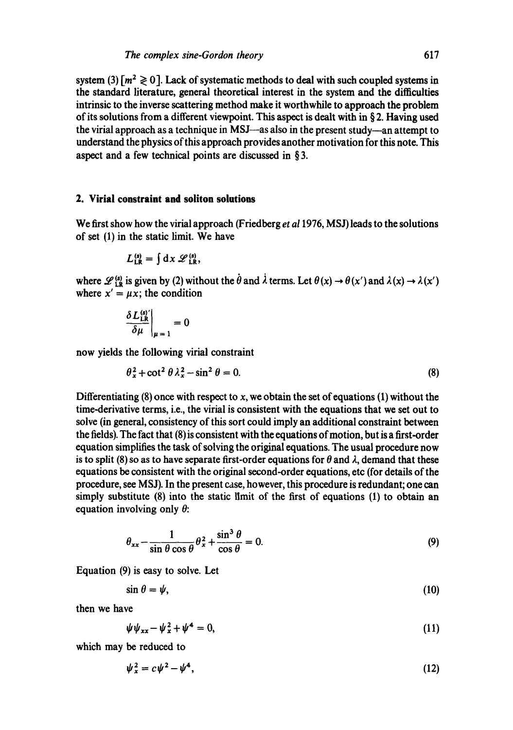system (3)  $\lceil m^2 \ge 0 \rceil$ . Lack of systematic methods to deal with such coupled systems in the standard literature, general theoretical interest in the system and the difficulties intrinsic to the inverse scattering method make it worthwhile to approach the problem of its solutions from a different viewpoint. This aspect is dealt with in § 2. Having used the virial approach as a technique in MSJ—as also in the present study—an attempt to understand the physics of this approach provides another motivation for this note. This aspect and a few technical points are discussed in § 3.

### **2. Virial constraint and soliton solutions**

We first show how the virial approach (Friedberg *et al* 1976, MSJ) leads to the solutions of set (1) in the static limit. We have

$$
L_{LR}^{(s)} = \int dx \mathscr{L}_{LR}^{(s)},
$$

where  $\mathscr{L}_{1R}^{(s)}$  is given by (2) without the  $\dot{\theta}$  and  $\dot{\lambda}$  terms. Let  $\theta(x) \rightarrow \theta(x')$  and  $\lambda(x) \rightarrow \lambda(x')$ where  $x' = \mu x$ ; the condition

$$
\left.\frac{\delta L_{LR}^{(s)}}{\delta \mu}\right|_{\mu=1}=0
$$

now yields the following virial constraint

$$
\theta_x^2 + \cot^2 \theta \lambda_x^2 - \sin^2 \theta = 0. \tag{8}
$$

Differentiating  $(8)$  once with respect to x, we obtain the set of equations  $(1)$  without the time-derivative terms, i.e., the virial is consistent with the equations that we set out to solve (in general, consistency of this sort could imply an additional constraint between the fields). The fact that (8) is consistent with the equations of motion, but is a first-order equation simplifies the task of solving the original equations. The usual procedure now is to split (8) so as to have separate first-order equations for  $\theta$  and  $\lambda$ , demand that these equations be consistent with the original second-order equations, etc (for details of the procedure, see MS J). In the present case, however, this procedure is redundant; one can simply substitute (8) into the static limit of the first of equations (1) to obtain an equation involving only  $\theta$ :

$$
\theta_{xx} - \frac{1}{\sin \theta \cos \theta} \theta_x^2 + \frac{\sin^3 \theta}{\cos \theta} = 0.
$$
 (9)

Equation (9) is easy to solve. Let

 $\sin \theta = \psi,$  (10)

then we have

$$
\psi \psi_{xx} - \psi_x^2 + \psi^4 = 0, \tag{11}
$$

which may be reduced to

$$
\psi_x^2 = c\psi^2 - \psi^4,\tag{12}
$$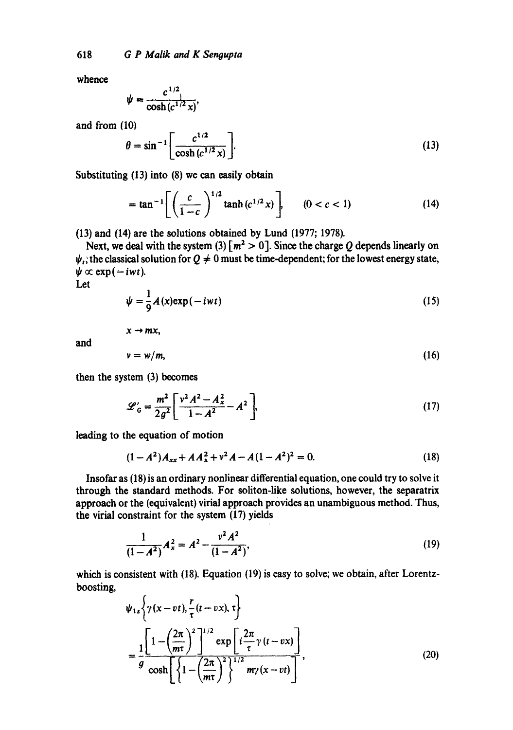whence

$$
\psi = \frac{c^{1/2}}{\cosh(c^{1/2}x)},
$$

and from  $(10)$ 

$$
\theta = \sin^{-1} \left[ \frac{c^{1/2}}{\cosh (c^{1/2} x)} \right].
$$
 (13)

Substituting (13) into (8) we can easily obtain

$$
= \tan^{-1} \left[ \left( \frac{c}{1-c} \right)^{1/2} \tanh(c^{1/2} x) \right], \qquad (0 < c < 1)
$$
 (14)

(13) and (14) are the solutions obtained by Lund (1977; 1978).

Next, we deal with the system (3)  $\lceil m^2 > 0 \rceil$ . Since the charge Q depends linearly on  $\psi_i$ ; the classical solution for  $Q \neq 0$  must be time-dependent; for the lowest energy state,  $\psi \propto \exp(-iwt)$ .

Let

$$
\psi = \frac{1}{9}A(x) \exp(-iwt) \tag{15}
$$

and

$$
v = w/m, \tag{16}
$$

then the system (3) becomes

 $x \rightarrow mx$ ,

$$
\mathcal{L}'_G = \frac{m^2}{2g^2} \left[ \frac{v^2 A^2 - A_x^2}{1 - A^2} - A^2 \right],\tag{17}
$$

leading to the equation of motion

$$
(1 - A2)Axx + AAx2 + v2A - A(1 - A2)2 = 0.
$$
 (18)

Insofar as (18) is an ordinary nonlinear differential equation, one could try to solve it through the standard methods. For soliton-like solutions, however, the separatrix approach or the (equivalent) virial approach provides an unambiguous method. Thus, the virial constraint for the system (17) yields

$$
\frac{1}{(1-A^2)}A_x^2 = A^2 - \frac{v^2A^2}{(1-A^2)},
$$
\n(19)

which is consistent with (18). Equation (19) is easy to solve; we obtain, after Lorentzboosting,

$$
\psi_{1s}\left\{\gamma(x-vt),\frac{r}{\tau}(t-vx),\tau\right\}
$$
\n
$$
=\frac{1}{g}\frac{\left[1-\left(\frac{2\pi}{m\tau}\right)^{2}\right]^{1/2}\exp\left[i\frac{2\pi}{\tau}\gamma(t-vx)\right]}{\cosh\left[\left\{1-\left(\frac{2\pi}{m\tau}\right)^{2}\right\}^{1/2}m\gamma(x-vt)\right]},
$$
\n(20)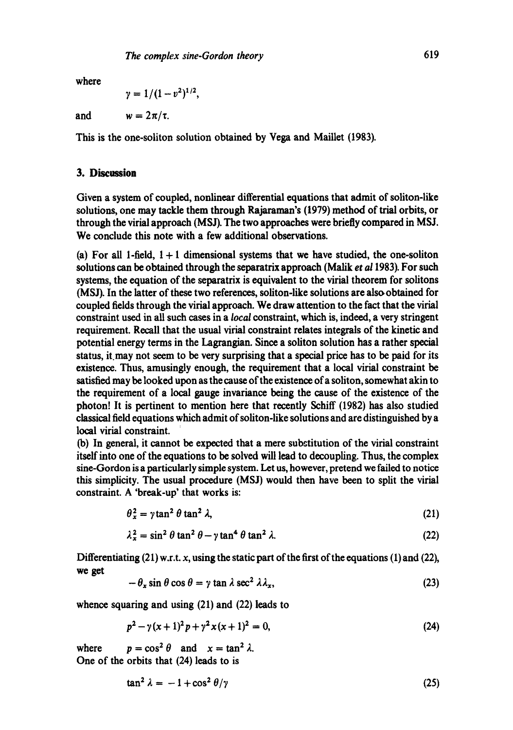$$
\gamma = 1/(1-v^2)^{1/2},
$$

and  $w = 2\pi/\tau$ .

**This is the one-soliton solution obtained by Vega and Maillet (1983).** 

## 3. Discussion

Given a system of coupled, nonlinear differential equations that admit of soliton-like solutions, one may tackle them through Rajaraman's (1979) method of trial orbits, or through the virial approach (MSJ). The two approaches were briefly compared in MSJ. We conclude this note with a few additional observations.

(a) For all 1-field,  $1+1$  dimensional systems that we have studied, the one-soliton solutions can be obtained through the separatrix approach (Malik *et a11983).* For such systems, the equation of the separatrix is equivalent to the virial theorem for solitons (MSJ). In the latter of these two references, soliton-like solutions are also obtained for coupled fields through the virial approach. We draw attention to the fact that the virial constraint used in all such cases in a *local* constraint, which is, indeed, a very stringent requirement. Recall that the usual virial constraint relates integrals of the kinetic and potential energy terms in the Lagrangian. Since a soliton solution has a rather special status, it may not seem to be very surprising that a special price has to be paid for its existence. Thus, amusingly enough, the requirement that a local virial constraint be satisfied may be looked upon as the cause of the existence of a soliton, somewhat akin to the requirement of a local gauge invariance being the cause of the existence of the photon! It is pertinent to mention here that recently Schiff (1982) has also studied classical field equations which admit of soliton-like solutions and are distinguished by a local virial constraint.

(b) In general, it cannot be expected that a mere substitution of the virial constraint itself into one of the equations to be solved will lead to decoupling. Thus, the complex sine-Gordon is a particularly simple system. Let us, however, pretend we failed to notice this simplicity. The usual procedure (MSJ) would then have been to split the virial constraint. A 'break-up' that works is:

$$
\theta_x^2 = \gamma \tan^2 \theta \tan^2 \lambda, \tag{21}
$$

$$
\lambda_x^2 = \sin^2 \theta \tan^2 \theta - \gamma \tan^4 \theta \tan^2 \lambda. \tag{22}
$$

Differentiating  $(21)$  w.r.t. x, using the static part of the first of the equations (1) and (22), we get

$$
-\theta_x \sin \theta \cos \theta = \gamma \tan \lambda \sec^2 \lambda \lambda_x, \tag{23}
$$

whence squaring and using (21) and (22) leads to

$$
p^2 - \gamma(x+1)^2 p + \gamma^2 x(x+1)^2 = 0, \tag{24}
$$

where  $p = \cos^2 \theta$  and  $x = \tan^2 \lambda$ . One of the orbits that (24) leads to is

$$
\tan^2 \lambda = -1 + \cos^2 \theta / \gamma \tag{25}
$$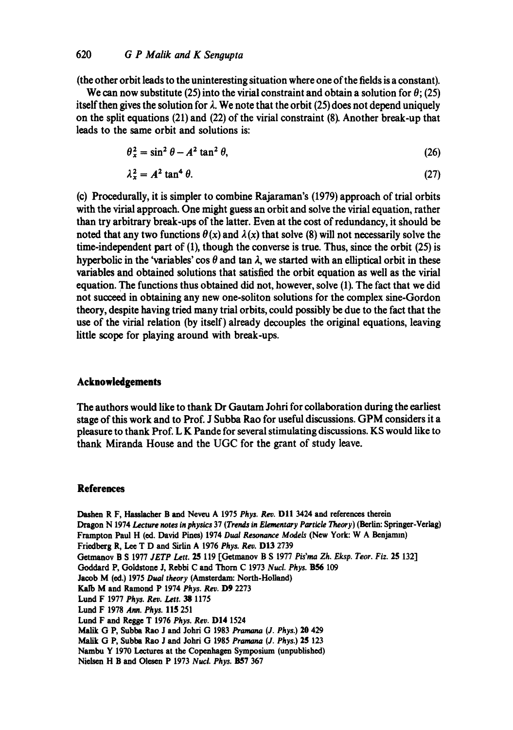(the other orbit leads to the uninteresting situation where one of the fields is a constant).

We can now substitute (25) into the virial constraint and obtain a solution for  $\theta$ ; (25) itself then gives the solution for  $\lambda$ . We note that the orbit (25) does not depend uniquely on the split equations (21) and (22) of the virial constraint (8). Another break-up that leads to the same orbit and solutions is:

$$
\theta_x^2 = \sin^2 \theta - A^2 \tan^2 \theta,\tag{26}
$$

$$
\lambda_x^2 = A^2 \tan^4 \theta. \tag{27}
$$

(c) Procedurally, it is simpler to combine Rajaraman's (1979) approach of trial orbits with the virial approach. One might guess an orbit and solve the virial equation, rather than try arbitrary break-ups of the latter. Even at the cost of redundancy, it should be noted that any two functions  $\theta(x)$  and  $\lambda(x)$  that solve (8) will not necessarily solve the time-independent part of (1), though the converse is true. Thus, since the orbit (25) is hyperbolic in the 'variables' cos  $\theta$  and tan  $\lambda$ , we started with an elliptical orbit in these variables and obtained solutions that satisfied the orbit equation as well as the virial equation. The functions thus obtained did not, however, solve (1). The fact that we did not succeed in obtaining any new one-soliton solutions for the complex sine-Gordon theory, despite having tried many trial orbits, could possibly be due to the fact that the use of the virial relation (by itself) already decouples the original equations, leaving little scope for playing around with break-ups.

## **Acknowledgements**

The authors would like to thank Dr Gautam Johri for collaboration during the earliest stage of this work and to Prof. J Subha Rao for useful discussions. GPM considers it a pleasure to thank Prof. L K Pande for several stimulating discussions. KS would like to thank Miranda House and the UGC for the grant of study leave.

#### **References**

Dashen R F, Hasslacher B and Neveu A 1975 Phys. Rev. D11 3424 and references therein Dragon N 1974 *Lecture notes in physics* 37 *(Trends in Elementary Particle* Theory) (Berlin: Springer-Verlag) Frampton Paul H (ed. David Pines) 1974 *Dual Resonance Models* (New York: W A Benjarmn) Friedberg R, Lee T D and Sirlln A 1976 *Phys. Roy.* DI3 2739 Getmanov B S 1977 *JETP Lett. 25* 119 [Getmanov B S 1977 P/s'ma *Zh. Eksp. Toot. Fiz.* 25 132] Goddard P, Goldstone J, Rebbi C and Thorn C 1973 *Nucl. Phys. B56 109*  Jacob M (ed.) 1975 *Dual theory* (Amsterdam: North-Holland) Kalb M and Ramond P 1974 *Phys. Roy.* D9 2273 Lund F 1977 *Phys. Roy. Lett. 38* 1175 Lurid F 1978 *Ann. Phys.* 115 251 Lurid F and Regge T 1976 *Phys. Roy.* DI4 1524 Malik G P, Subba Rao J and Johri G 1983 Pramana (J. *Phys.)* 20 429 Malik G P, Subba Rao J and Johri G 1985 *Pramnna (J. Phys.)* 25 123 Nambu Y 1970 Lectures at the Copenhagen Symposium (unpubfished) Nielsen H B and Olesen P 1973 *Nucl. Phys.* B57 367